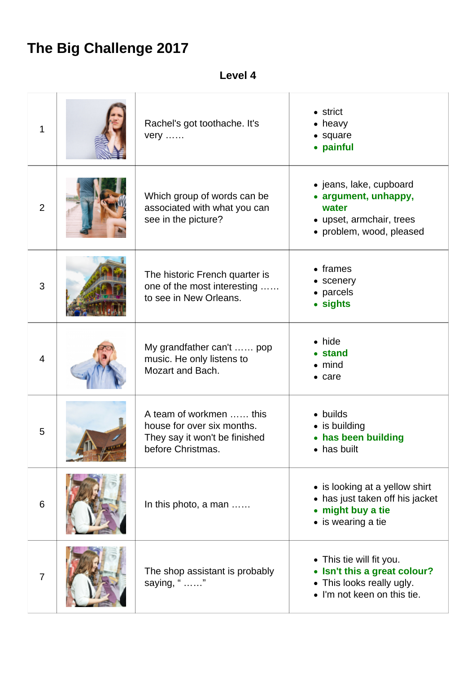## **The Big Challenge 2017**

**Level 4**

| 1              | Rachel's got toothache. It's<br>$very \ldots$ .                                                             | $\bullet$ strict<br>$\bullet$ heavy<br>• square<br>• painful                                                         |
|----------------|-------------------------------------------------------------------------------------------------------------|----------------------------------------------------------------------------------------------------------------------|
| $\overline{2}$ | Which group of words can be<br>associated with what you can<br>see in the picture?                          | • jeans, lake, cupboard<br>• argument, unhappy,<br>water<br>• upset, armchair, trees<br>• problem, wood, pleased     |
| 3              | The historic French quarter is<br>one of the most interesting<br>to see in New Orleans.                     | $\bullet$ frames<br>• scenery<br>• parcels<br>• sights                                                               |
| $\overline{4}$ | My grandfather can't  pop<br>music. He only listens to<br>Mozart and Bach.                                  | $\bullet$ hide<br>• stand<br>$\bullet$ mind<br>$\bullet$ care                                                        |
| 5              | A team of workmen  this<br>house for over six months.<br>They say it won't be finished<br>before Christmas. | • builds<br>• is building<br>• has been building<br>$\bullet$ has built                                              |
| 6              | In this photo, a man                                                                                        | • is looking at a yellow shirt<br>• has just taken off his jacket<br>• might buy a tie<br>• is wearing a tie         |
| $\overline{7}$ | The shop assistant is probably<br>saying, " "                                                               | • This tie will fit you.<br>• Isn't this a great colour?<br>• This looks really ugly.<br>• I'm not keen on this tie. |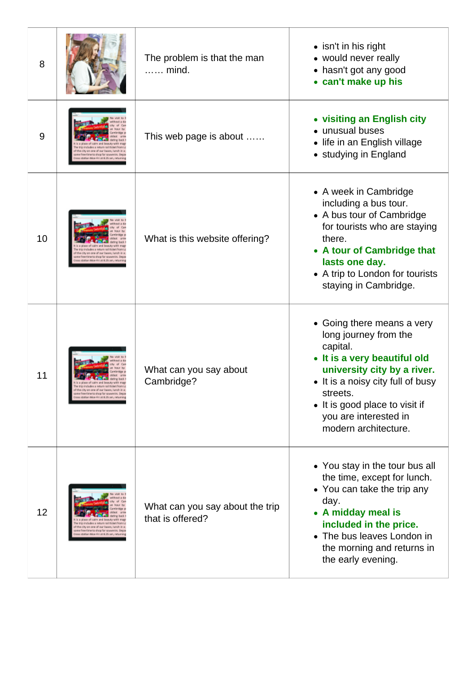| 8  |                                                                                                                                                                                  | The problem is that the man<br>mind.                | • isn't in his right<br>• would never really<br>• hasn't got any good<br>• can't make up his                                                                                                                                                                       |
|----|----------------------------------------------------------------------------------------------------------------------------------------------------------------------------------|-----------------------------------------------------|--------------------------------------------------------------------------------------------------------------------------------------------------------------------------------------------------------------------------------------------------------------------|
| 9  | he city on one of our buses, lunch-<br>e fine time to shop far souvenirs. De<br>x station Moe-Fri at 8.25 am, netumin                                                            | This web page is about                              | • visiting an English city<br>• unusual buses<br>• life in an English village<br>• studying in England                                                                                                                                                             |
| 10 | rio includes a return rail ticket from L<br>the city on one of our buses, lunch in a<br>free time to shop for sowenirs, begy<br>ation Moe-Fri at 8.25 am, returnin               | What is this website offering?                      | • A week in Cambridge<br>including a bus tour.<br>• A bus tour of Cambridge<br>for tourists who are staying<br>there.<br>• A tour of Cambridge that<br>lasts one day.<br>• A trip to London for tourists<br>staying in Cambridge.                                  |
| 11 | of the city on one of our buses, lunch in a<br>some free time to shop far souvenirs. Depar<br>aoss station Moe-Fri at 8.25 am, neturning                                         | What can you say about<br>Cambridge?                | • Going there means a very<br>long journey from the<br>capital.<br>• It is a very beautiful old<br>university city by a river.<br>• It is a noisy city full of busy<br>streets.<br>• It is good place to visit if<br>you are interested in<br>modern architecture. |
| 12 | trip includes a return rail ticket from L<br>of the city on one of our bases, lunch in a<br>ne free time to shop for souvenirs. Depar<br>x station Mon-Fri at 8.25 am, returning | What can you say about the trip<br>that is offered? | • You stay in the tour bus all<br>the time, except for lunch.<br>• You can take the trip any<br>day.<br>• A midday meal is<br>included in the price.<br>• The bus leaves London in<br>the morning and returns in<br>the early evening.                             |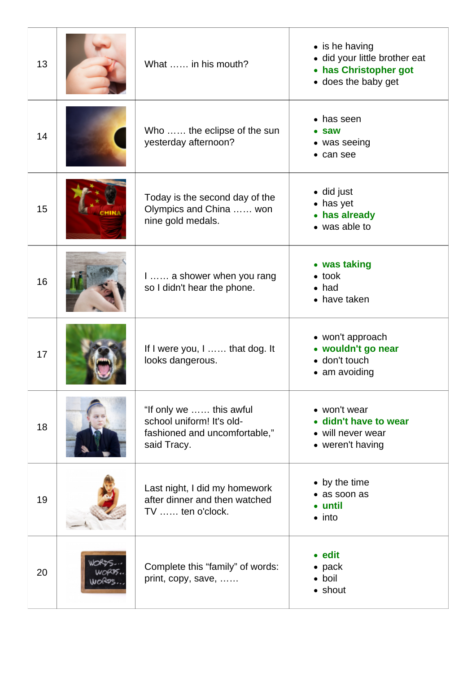| 13 | What  in his mouth?                                                                                  | $\bullet$ is he having<br>· did your little brother eat<br>• has Christopher got<br>• does the baby get |
|----|------------------------------------------------------------------------------------------------------|---------------------------------------------------------------------------------------------------------|
| 14 | Who  the eclipse of the sun<br>yesterday afternoon?                                                  | • has seen<br>$\bullet$ saw<br>$\bullet$ was seeing<br>• can see                                        |
| 15 | Today is the second day of the<br>Olympics and China  won<br>nine gold medals.                       | • did just<br>• has yet<br>• has already<br>• was able to                                               |
| 16 | I  a shower when you rang<br>so I didn't hear the phone.                                             | • was taking<br>$\bullet$ took<br>$\bullet$ had<br>• have taken                                         |
| 17 | If I were you, I  that dog. It<br>looks dangerous.                                                   | • won't approach<br>• wouldn't go near<br>• don't touch<br>$\bullet$ am avoiding                        |
| 18 | "If only we  this awful<br>school uniform! It's old-<br>fashioned and uncomfortable,"<br>said Tracy. | • won't wear<br>· didn't have to wear<br>• will never wear<br>• weren't having                          |
| 19 | Last night, I did my homework<br>after dinner and then watched<br>TV  ten o'clock.                   | • by the time<br>• as soon as<br>• until<br>$\bullet$ into                                              |
| 20 | Complete this "family" of words:<br>print, copy, save,                                               | • edit<br>$\bullet$ pack<br>• boil<br>• shout                                                           |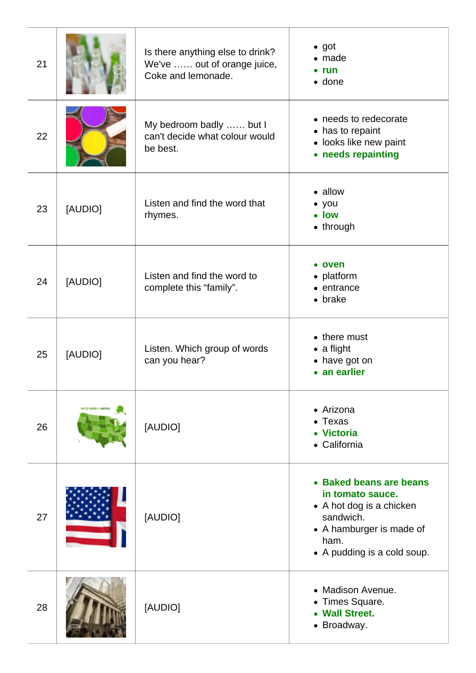| 21 |                              | Is there anything else to drink?<br>We've  out of orange juice,<br>Coke and lemonade. | $\bullet$ got<br>$\bullet$ made<br>$\bullet$ run<br>$\bullet$ done                                                                                      |
|----|------------------------------|---------------------------------------------------------------------------------------|---------------------------------------------------------------------------------------------------------------------------------------------------------|
| 22 |                              | My bedroom badly  but I<br>can't decide what colour would<br>be best.                 | • needs to redecorate<br>• has to repaint<br>• looks like new paint<br>• needs repainting                                                               |
| 23 | [AUDIO]                      | Listen and find the word that<br>rhymes.                                              | • allow<br>$\bullet$ you<br>• low<br>• through                                                                                                          |
| 24 | [AUDIO]                      | Listen and find the word to<br>complete this "family".                                | • oven<br>• platform<br>$\bullet$ entrance<br>$\bullet$ brake                                                                                           |
| 25 | [AUDIO]                      | Listen. Which group of words<br>can you hear?                                         | • there must<br>$\bullet$ a flight<br>• have got on<br>• an earlier                                                                                     |
| 26 | <b>NITED SENTES OF AMORM</b> | [AUDIO]                                                                               | • Arizona<br>$\bullet$ Texas<br>• Victoria<br>• California                                                                                              |
| 27 |                              | [AUDIO]                                                                               | • Baked beans are beans<br>in tomato sauce.<br>• A hot dog is a chicken<br>sandwich.<br>• A hamburger is made of<br>ham.<br>• A pudding is a cold soup. |
| 28 |                              | [AUDIO]                                                                               | • Madison Avenue.<br>• Times Square.<br>• Wall Street.<br>• Broadway.                                                                                   |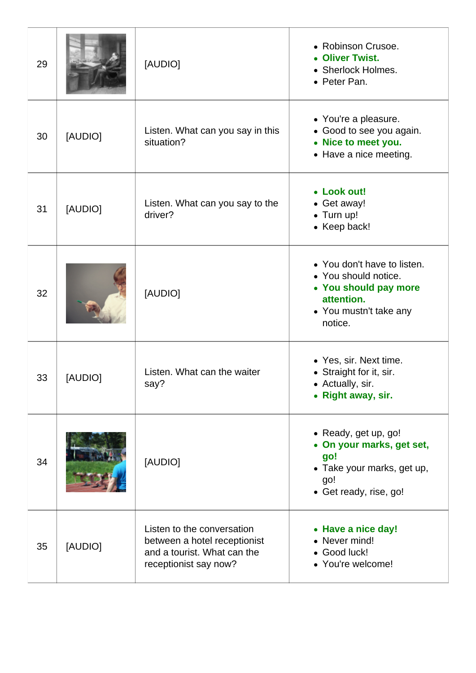| 29 |         | [AUDIO]                                                                                                            | • Robinson Crusoe.<br>• Oliver Twist.<br>• Sherlock Holmes.<br>• Peter Pan.                                                     |
|----|---------|--------------------------------------------------------------------------------------------------------------------|---------------------------------------------------------------------------------------------------------------------------------|
| 30 | [AUDIO] | Listen. What can you say in this<br>situation?                                                                     | • You're a pleasure.<br>• Good to see you again.<br>• Nice to meet you.<br>• Have a nice meeting.                               |
| 31 | [AUDIO] | Listen. What can you say to the<br>driver?                                                                         | • Look out!<br>• Get away!<br>• Turn up!<br>• Keep back!                                                                        |
| 32 |         | [AUDIO]                                                                                                            | • You don't have to listen.<br>• You should notice.<br>• You should pay more<br>attention.<br>• You mustn't take any<br>notice. |
| 33 | [AUDIO] | Listen. What can the waiter<br>say?                                                                                | • Yes, sir. Next time.<br>• Straight for it, sir.<br>• Actually, sir.<br>• Right away, sir.                                     |
| 34 |         | [AUDIO]                                                                                                            | • Ready, get up, go!<br>• On your marks, get set,<br>go!<br>• Take your marks, get up,<br>go!<br>• Get ready, rise, go!         |
| 35 | [AUDIO] | Listen to the conversation<br>between a hotel receptionist<br>and a tourist. What can the<br>receptionist say now? | • Have a nice day!<br>• Never mind!<br>• Good luck!<br>• You're welcome!                                                        |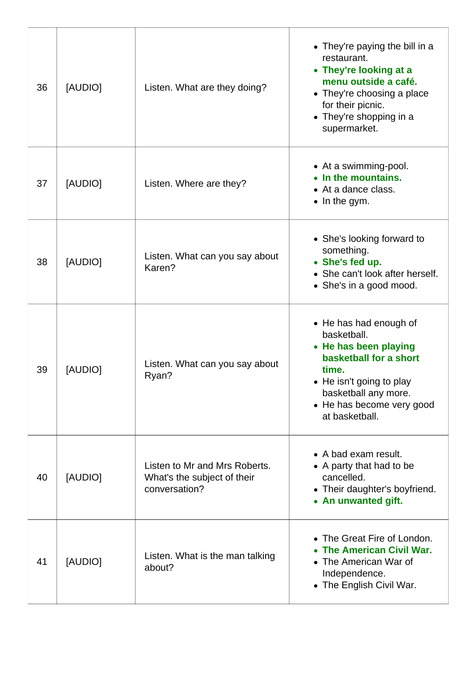| 36 | [AUDIO] | Listen. What are they doing?                                                  | • They're paying the bill in a<br>restaurant.<br>• They're looking at a<br>menu outside a café.<br>• They're choosing a place<br>for their picnic.<br>• They're shopping in a<br>supermarket.        |
|----|---------|-------------------------------------------------------------------------------|------------------------------------------------------------------------------------------------------------------------------------------------------------------------------------------------------|
| 37 | [AUDIO] | Listen. Where are they?                                                       | • At a swimming-pool.<br>• In the mountains.<br>• At a dance class.<br>$\bullet$ In the gym.                                                                                                         |
| 38 | [AUDIO] | Listen. What can you say about<br>Karen?                                      | • She's looking forward to<br>something.<br>• She's fed up.<br>• She can't look after herself.<br>• She's in a good mood.                                                                            |
| 39 | [AUDIO] | Listen. What can you say about<br>Ryan?                                       | • He has had enough of<br>basketball.<br>• He has been playing<br>basketball for a short<br>time.<br>• He isn't going to play<br>basketball any more.<br>• He has become very good<br>at basketball. |
| 40 | [AUDIO] | Listen to Mr and Mrs Roberts.<br>What's the subject of their<br>conversation? | • A bad exam result.<br>• A party that had to be<br>cancelled.<br>• Their daughter's boyfriend.<br>• An unwanted gift.                                                                               |
| 41 | [AUDIO] | Listen. What is the man talking<br>about?                                     | • The Great Fire of London.<br>• The American Civil War.<br>• The American War of<br>Independence.<br>• The English Civil War.                                                                       |